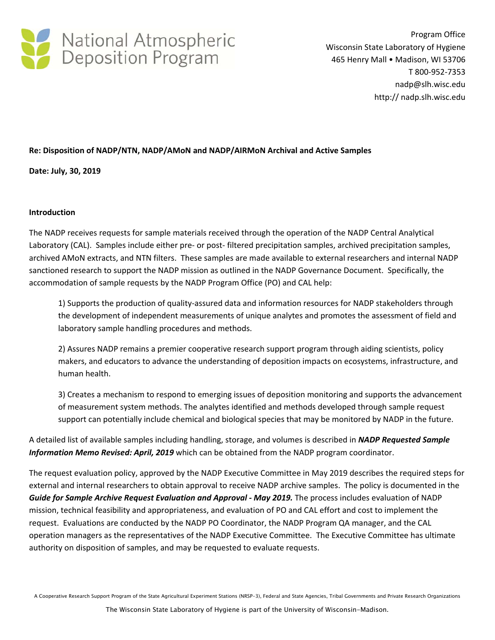

Program Office Wisconsin State Laboratory of Hygiene 465 Henry Mall • Madison, WI 53706 T 800‐952‐7353 nadp@slh.wisc.edu http:// nadp.slh.wisc.edu

# **Re: Disposition of NADP/NTN, NADP/AMoN and NADP/AIRMoN Archival and Active Samples**

**Date: July, 30, 2019**

#### **Introduction**

The NADP receives requests for sample materials received through the operation of the NADP Central Analytical Laboratory (CAL). Samples include either pre- or post-filtered precipitation samples, archived precipitation samples, archived AMoN extracts, and NTN filters. These samples are made available to external researchers and internal NADP sanctioned research to support the NADP mission as outlined in the NADP Governance Document. Specifically, the accommodation of sample requests by the NADP Program Office (PO) and CAL help:

1) Supports the production of quality‐assured data and information resources for NADP stakeholders through the development of independent measurements of unique analytes and promotes the assessment of field and laboratory sample handling procedures and methods.

2) Assures NADP remains a premier cooperative research support program through aiding scientists, policy makers, and educators to advance the understanding of deposition impacts on ecosystems, infrastructure, and human health.

3) Creates a mechanism to respond to emerging issues of deposition monitoring and supports the advancement of measurement system methods. The analytes identified and methods developed through sample request support can potentially include chemical and biological species that may be monitored by NADP in the future.

A detailed list of available samples including handling, storage, and volumes is described in *NADP Requested Sample Information Memo Revised: April, 2019* which can be obtained from the NADP program coordinator.

The request evaluation policy, approved by the NADP Executive Committee in May 2019 describes the required steps for external and internal researchers to obtain approval to receive NADP archive samples. The policy is documented in the *Guide for Sample Archive Request Evaluation and Approval ‐ May 2019.* The process includes evaluation of NADP mission, technical feasibility and appropriateness, and evaluation of PO and CAL effort and cost to implement the request. Evaluations are conducted by the NADP PO Coordinator, the NADP Program QA manager, and the CAL operation managers as the representatives of the NADP Executive Committee. The Executive Committee has ultimate authority on disposition of samples, and may be requested to evaluate requests.

A Cooperative Research Support Program of the State Agricultural Experiment Stations (NRSP-3), Federal and State Agencies, Tribal Governments and Private Research Organizations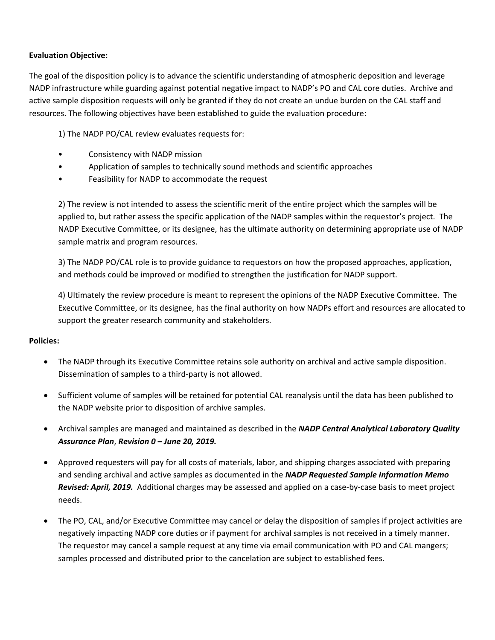# **Evaluation Objective:**

The goal of the disposition policy is to advance the scientific understanding of atmospheric deposition and leverage NADP infrastructure while guarding against potential negative impact to NADP's PO and CAL core duties. Archive and active sample disposition requests will only be granted if they do not create an undue burden on the CAL staff and resources. The following objectives have been established to guide the evaluation procedure:

1) The NADP PO/CAL review evaluates requests for:

- Consistency with NADP mission
- Application of samples to technically sound methods and scientific approaches
- Feasibility for NADP to accommodate the request

2) The review is not intended to assess the scientific merit of the entire project which the samples will be applied to, but rather assess the specific application of the NADP samples within the requestor's project. The NADP Executive Committee, or its designee, has the ultimate authority on determining appropriate use of NADP sample matrix and program resources.

3) The NADP PO/CAL role is to provide guidance to requestors on how the proposed approaches, application, and methods could be improved or modified to strengthen the justification for NADP support.

4) Ultimately the review procedure is meant to represent the opinions of the NADP Executive Committee. The Executive Committee, or its designee, has the final authority on how NADPs effort and resources are allocated to support the greater research community and stakeholders.

#### **Policies:**

- The NADP through its Executive Committee retains sole authority on archival and active sample disposition. Dissemination of samples to a third‐party is not allowed.
- Sufficient volume of samples will be retained for potential CAL reanalysis until the data has been published to the NADP website prior to disposition of archive samples.
- Archival samples are managed and maintained as described in the *NADP Central Analytical Laboratory Quality Assurance Plan*, *Revision 0 – June 20, 2019.*
- Approved requesters will pay for all costs of materials, labor, and shipping charges associated with preparing and sending archival and active samples as documented in the *NADP Requested Sample Information Memo Revised: April, 2019.* Additional charges may be assessed and applied on a case‐by‐case basis to meet project needs.
- The PO, CAL, and/or Executive Committee may cancel or delay the disposition of samples if project activities are negatively impacting NADP core duties or if payment for archival samples is not received in a timely manner. The requestor may cancel a sample request at any time via email communication with PO and CAL mangers; samples processed and distributed prior to the cancelation are subject to established fees.